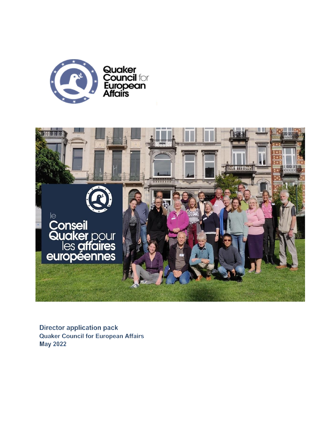



**Director application pack Quaker Council for European Affairs May 2022**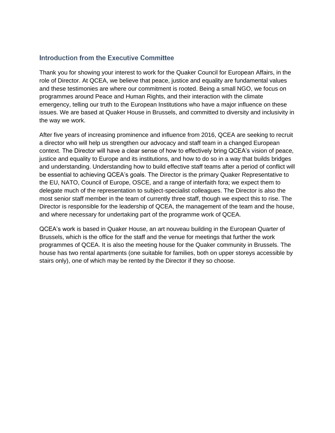#### Introduction from the Executive Committee

Thank you for showing your interest to work for the Quaker Council for European Affairs, in the role of Director. At QCEA, we believe that peace, justice and equality are fundamental values and these testimonies are where our commitment is rooted. Being a small NGO, we focus on programmes around Peace and Human Rights, and their interaction with the climate emergency, telling our truth to the European Institutions who have a major influence on these issues. We are based at Quaker House in Brussels, and committed to diversity and inclusivity in the way we work.

After five years of increasing prominence and influence from 2016, QCEA are seeking to recruit a director who will help us strengthen our advocacy and staff team in a changed European context. The Director will have a clear sense of how to effectively bring QCEA's vision of peace, justice and equality to Europe and its institutions, and how to do so in a way that builds bridges and understanding. Understanding how to build effective staff teams after a period of conflict will be essential to achieving QCEA's goals. The Director is the primary Quaker Representative to the EU, NATO, Council of Europe, OSCE, and a range of interfaith fora; we expect them to delegate much of the representation to subject-specialist colleagues. The Director is also the most senior staff member in the team of currently three staff, though we expect this to rise. The Director is responsible for the leadership of QCEA, the management of the team and the house, and where necessary for undertaking part of the programme work of QCEA.

QCEA's work is based in Quaker House, an art nouveau building in the European Quarter of Brussels, which is the office for the staff and the venue for meetings that further the work programmes of QCEA. It is also the meeting house for the Quaker community in Brussels. The house has two rental apartments (one suitable for families, both on upper storeys accessible by stairs only), one of which may be rented by the Director if they so choose.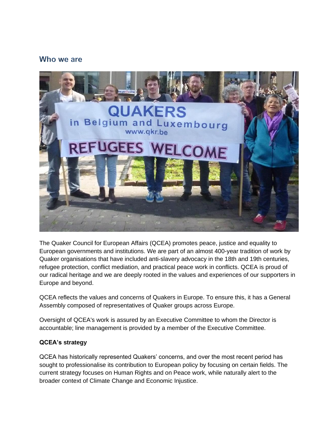# Who we are



The Quaker Council for European Affairs (QCEA) promotes peace, justice and equality to European governments and institutions. We are part of an almost 400-year tradition of work by Quaker organisations that have included anti-slavery advocacy in the 18th and 19th centuries, refugee protection, conflict mediation, and practical peace work in conflicts. QCEA is proud of our radical heritage and we are deeply rooted in the values and experiences of our supporters in Europe and beyond.

QCEA reflects the values and concerns of Quakers in Europe. To ensure this, it has a General Assembly composed of representatives of Quaker groups across Europe.

Oversight of QCEA's work is assured by an Executive Committee to whom the Director is accountable; line management is provided by a member of the Executive Committee.

### **QCEA's strategy**

QCEA has historically represented Quakers' concerns, and over the most recent period has sought to professionalise its contribution to European policy by focusing on certain fields. The current strategy focuses on Human Rights and on Peace work, while naturally alert to the broader context of Climate Change and Economic Injustice.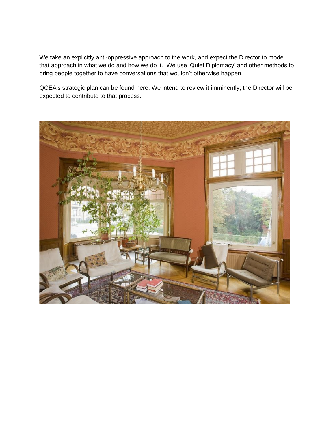We take an explicitly anti-oppressive approach to the work, and expect the Director to model that approach in what we do and how we do it. We use 'Quiet Diplomacy' and other methods to bring people together to have conversations that wouldn't otherwise happen.

QCEA's strategic plan can be found [here.](https://www.qcea.org/wp-content/uploads/2019/10/Strategic-Plan-2019-2024.pdf) We intend to review it imminently; the Director will be expected to contribute to that process.

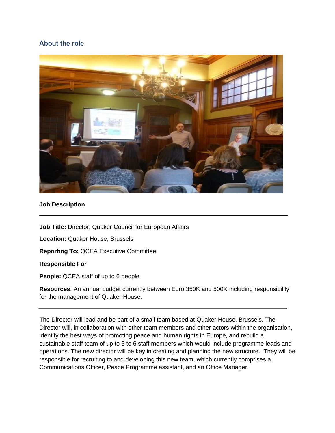## About the role



#### **Job Description**

**Job Title:** Director, Quaker Council for European Affairs

**Location:** Quaker House, Brussels

**Reporting To:** QCEA Executive Committee

#### **Responsible For**

**People:** QCEA staff of up to 6 people

**Resources**: An annual budget currently between Euro 350K and 500K including responsibility for the management of Quaker House.

The Director will lead and be part of a small team based at Quaker House, Brussels. The Director will, in collaboration with other team members and other actors within the organisation, identify the best ways of promoting peace and human rights in Europe, and rebuild a sustainable staff team of up to 5 to 6 staff members which would include programme leads and operations. The new director will be key in creating and planning the new structure. They will be responsible for recruiting to and developing this new team, which currently comprises a Communications Officer, Peace Programme assistant, and an Office Manager.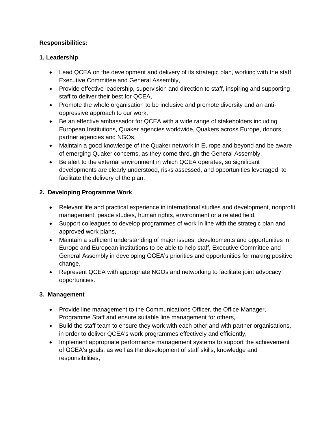## **Responsibilities:**

## **1. Leadership**

- Lead QCEA on the development and delivery of its strategic plan, working with the staff, Executive Committee and General Assembly,
- Provide effective leadership, supervision and direction to staff, inspiring and supporting staff to deliver their best for QCEA,
- Promote the whole organisation to be inclusive and promote diversity and an antioppressive approach to our work,
- Be an effective ambassador for QCEA with a wide range of stakeholders including European Institutions, Quaker agencies worldwide, Quakers across Europe, donors, partner agencies and NGOs,
- Maintain a good knowledge of the Quaker network in Europe and beyond and be aware of emerging Quaker concerns, as they come through the General Assembly,
- Be alert to the external environment in which QCEA operates, so significant developments are clearly understood, risks assessed, and opportunities leveraged, to facilitate the delivery of the plan.

## **2. Developing Programme Work**

- Relevant life and practical experience in international studies and development, nonprofit management, peace studies, human rights, environment or a related field.
- Support colleagues to develop programmes of work in line with the strategic plan and approved work plans,
- Maintain a sufficient understanding of major issues, developments and opportunities in Europe and European institutions to be able to help staff, Executive Committee and General Assembly in developing QCEA's priorities and opportunities for making positive change,
- Represent QCEA with appropriate NGOs and networking to facilitate joint advocacy opportunities.

# **3. Management**

- Provide line management to the Communications Officer, the Office Manager, Programme Staff and ensure suitable line management for others,
- Build the staff team to ensure they work with each other and with partner organisations, in order to deliver QCEA's work programmes effectively and efficiently,
- Implement appropriate performance management systems to support the achievement of QCEA's goals, as well as the development of staff skills, knowledge and responsibilities,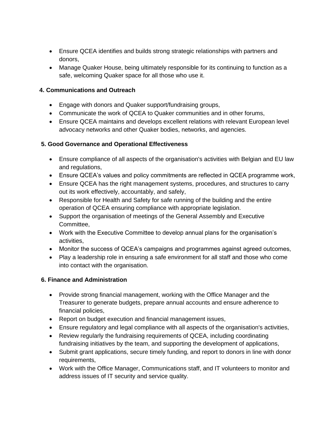- Ensure QCEA identifies and builds strong strategic relationships with partners and donors,
- Manage Quaker House, being ultimately responsible for its continuing to function as a safe, welcoming Quaker space for all those who use it.

## **4. Communications and Outreach**

- Engage with donors and Quaker support/fundraising groups,
- Communicate the work of QCEA to Quaker communities and in other forums,
- Ensure QCEA maintains and develops excellent relations with relevant European level advocacy networks and other Quaker bodies, networks, and agencies.

## **5. Good Governance and Operational Effectiveness**

- Ensure compliance of all aspects of the organisation's activities with Belgian and EU law and regulations,
- Ensure QCEA's values and policy commitments are reflected in QCEA programme work,
- Ensure QCEA has the right management systems, procedures, and structures to carry out its work effectively, accountably, and safely,
- Responsible for Health and Safety for safe running of the building and the entire operation of QCEA ensuring compliance with appropriate legislation.
- Support the organisation of meetings of the General Assembly and Executive Committee,
- Work with the Executive Committee to develop annual plans for the organisation's activities,
- Monitor the success of QCEA's campaigns and programmes against agreed outcomes,
- Play a leadership role in ensuring a safe environment for all staff and those who come into contact with the organisation.

### **6. Finance and Administration**

- Provide strong financial management, working with the Office Manager and the Treasurer to generate budgets, prepare annual accounts and ensure adherence to financial policies,
- Report on budget execution and financial management issues,
- Ensure regulatory and legal compliance with all aspects of the organisation's activities,
- Review regularly the fundraising requirements of QCEA, including coordinating fundraising initiatives by the team, and supporting the development of applications,
- Submit grant applications, secure timely funding, and report to donors in line with donor requirements,
- Work with the Office Manager, Communications staff, and IT volunteers to monitor and address issues of IT security and service quality.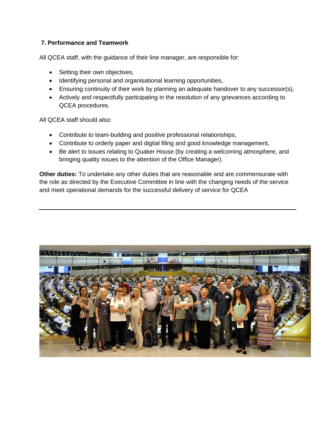#### **7. Performance and Teamwork**

All QCEA staff, with the guidance of their line manager, are responsible for:

- Setting their own objectives,
- Identifying personal and organisational learning opportunities,
- Ensuring continuity of their work by planning an adequate handover to any successor(s),
- Actively and respectfully participating in the resolution of any grievances according to QCEA procedures.

All QCEA staff should also:

- Contribute to team-building and positive professional relationships,
- Contribute to orderly paper and digital filing and good knowledge management,
- Be alert to issues relating to Quaker House (by creating a welcoming atmosphere, and bringing quality issues to the attention of the Office Manager).

**Other duties:** To undertake any other duties that are reasonable and are commensurate with the role as directed by the Executive Committee in line with the changing needs of the service and meet operational demands for the successful delivery of service for QCEA

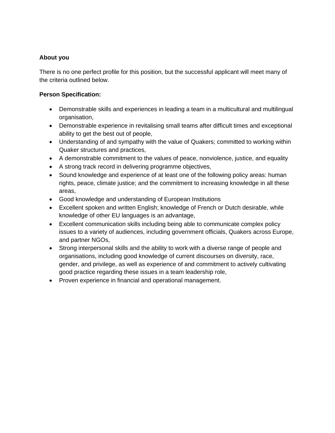#### **About you**

There is no one perfect profile for this position, but the successful applicant will meet many of the criteria outlined below.

#### **Person Specification:**

- Demonstrable skills and experiences in leading a team in a multicultural and multilingual organisation,
- Demonstrable experience in revitalising small teams after difficult times and exceptional ability to get the best out of people,
- Understanding of and sympathy with the value of Quakers; committed to working within Quaker structures and practices,
- A demonstrable commitment to the values of peace, nonviolence, justice, and equality
- A strong track record in delivering programme objectives,
- Sound knowledge and experience of at least one of the following policy areas: human rights, peace, climate justice; and the commitment to increasing knowledge in all these areas,
- Good knowledge and understanding of European Institutions
- Excellent spoken and written English; knowledge of French or Dutch desirable, while knowledge of other EU languages is an advantage,
- Excellent communication skills including being able to communicate complex policy issues to a variety of audiences, including government officials, Quakers across Europe, and partner NGOs,
- Strong interpersonal skills and the ability to work with a diverse range of people and organisations, including good knowledge of current discourses on diversity, race, gender, and privilege, as well as experience of and commitment to actively cultivating good practice regarding these issues in a team leadership role,
- Proven experience in financial and operational management.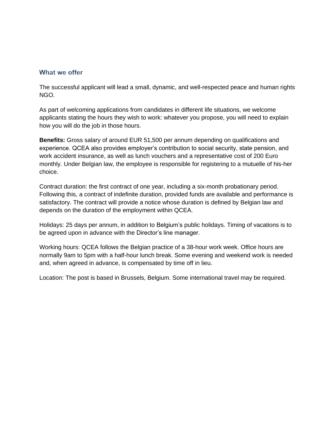#### What we offer

The successful applicant will lead a small, dynamic, and well-respected peace and human rights NGO.

As part of welcoming applications from candidates in different life situations, we welcome applicants stating the hours they wish to work: whatever you propose, you will need to explain how you will do the job in those hours.

**Benefits:** Gross salary of around EUR 51,500 per annum depending on qualifications and experience. QCEA also provides employer's contribution to social security, state pension, and work accident insurance, as well as lunch vouchers and a representative cost of 200 Euro monthly. Under Belgian law, the employee is responsible for registering to a mutuelle of his-her choice.

Contract duration: the first contract of one year, including a six-month probationary period. Following this, a contract of indefinite duration, provided funds are available and performance is satisfactory. The contract will provide a notice whose duration is defined by Belgian law and depends on the duration of the employment within QCEA.

Holidays: 25 days per annum, in addition to Belgium's public holidays. Timing of vacations is to be agreed upon in advance with the Director's line manager.

Working hours: QCEA follows the Belgian practice of a 38-hour work week. Office hours are normally 9am to 5pm with a half-hour lunch break. Some evening and weekend work is needed and, when agreed in advance, is compensated by time off in lieu.

Location: The post is based in Brussels, Belgium. Some international travel may be required.